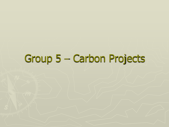# Group 5 – Carbon Projects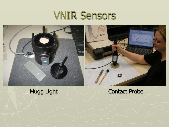## VNIR Sensors



#### Mugg Light | Contact Probe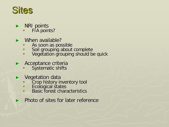## **Sites**

- ► NRI points
	- **FIA points?**
- ► When available?
	- As soon as possible
	- **Soil grouping about complete**
	- **Vegetation grouping should be quick**
- ► Acceptance criteria
	- Systematic shifts
- ► Vegetation data
	- **Crop history inventory tool**
	- **Ecological states**
	- **Basic forest characteristics**
	- Photo of sites for later reference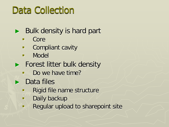## Data Collection

### ► Bulk density is hard part

- Core
- **E** Compliant cavity
- **Nodel**
- ► Forest litter bulk density
	- Do we have time?
- ► Data files
	- Rigid file name structure
	- **Daily backup**
	- **Requiar upload to sharepoint site**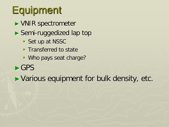# **Equipment**

- ► VNIR spectrometer
- ► Semi-ruggedized lap top
	- Set up at NSSC
	- **Transferred to state**
	- **Who pays seat charge?**
- ►GPS

► Various equipment for bulk density, etc.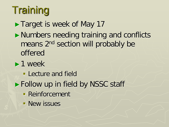# **Training**

► Target is week of May 17 ►Numbers needing training and conflicts means 2nd section will probably be offered ►1 week **Lecture and field** ► Follow up in field by NSSC staff Reinforcement **New issues**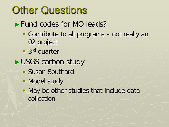# **Other Questions**

- ► Fund codes for MO leads?
	- Contribute to all programs not really an 02 project
	- **3rd** quarter
- ►USGS carbon study
	- Susan Southard
	- **Model study**
	- **May be other studies that include data** collection